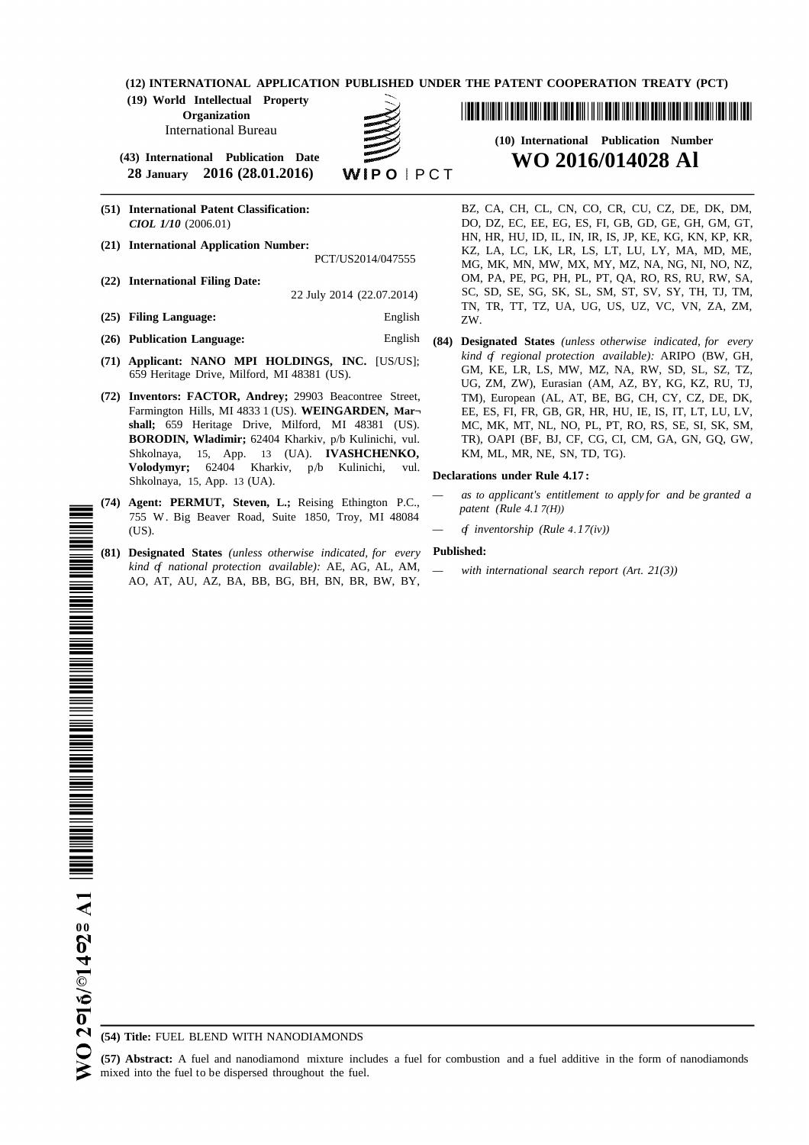**(12) INTERNATIONAL APPLICATION PUBLISHED UNDER THE PATENT COOPERATION TREATY (PCT)**

**(19) World Intellectual Property Organization** International Bureau

**(43) International Publication Date WO 2016/014028 Al 28 January 2016** (28.01.2016)

- 
- -
- 
- **(25) Filing Language:** English ZW.
- 
- 
- Shkolnaya, 15, App. 13 (UA). **IVASHCHENKO,** KM, ML, MR, NE, SN, TD, TG). Volodymyr; 62404 Kharkiv, p/b Kulinichi, vul. **Shkolnaya, 15, App. 13 (UA). Declarations under Rule 4.17:**
- (74) **Agent: PERMUT, Steven, L.;** Reising Ethington P.C., *patent (Rule 4.1 7(H))* 755 W. Big Beaver Road, Suite 1850, Troy, MI 48084 (US).  $\qquad \qquad - \qquad f \text{ \textit{inventorship (Rule 4.17(iv))}}$
- **(81) Designated States** *(unless otherwise indicated, for every* **Published:** *kind of national protection available):* AE, AG, AL, AM, *— with international search report (Art. 21(3))* AO, AT, AU, AZ, BA, BB, BG, BH, BN, BR, BW, BY,

<u> 1 III DE DINDIN N DIDIR NEN DEN NI DIN DIN NI DI DIN DIN NI DIN BENE NEN DIN NI DIN NI DIN NI NEN NEN DEN</u>

# **(10) International Publication Number**

**(51) International Patent Classification:** BZ, CA, CH, CL, CN, CO, CR, CU, CZ, DE, DK, DM, *CIOL 1/10* (2006.01) DO, DZ, EC, EE, EG, ES, FI, GB, GD, GE, GH, GM, GT, HN, HR, HU, ID, IL, IN, IR, IS, JP, KE, KG, KN, KP, KR, **(21) International Application Number:** KZ, LA, LC, LK, LR, LS, LT, LU, LY, MA, MD, ME, MG, MK, MN, MW, MX, MY, MZ, NA, NG, NI, NO, NZ, **(22) International Filing Date:** OM, PA, PE, PG, PH, PL, PT, QA, RO, RS, RU, RW, SA, 22 July 2014 (22.07.2014) SC, SD, SE, SG, SK, SL, SM, ST, SV, SY, TH, TJ, TM, TN, TR, TT, TZ, UA, UG, US, UZ, VC, VN, ZA, ZM,

**(26) Publication Language:** English **(84) Designated States** *(unless otherwise indicated, for every* **(71) Applicant: NANO MPI HOLDINGS, INC.** [US/US]; *kind of regional protection available):* ARIPO (BW, GH, 659 Heritage Drive, Milford, MI 48381 (US). GM, KE, LR, LS, MW, MZ, NA, RW, SD, SL, SZ, TZ, UG, ZM, ZW), Eurasian (AM, AZ, BY, KG, KZ, RU, TJ, **(72) Inventors: FACTOR, Andrey;** 29903 Beacontree Street, TM), European (AL, AT, BE, BG, CH, CY, CZ, DE, DK, Farmington Hills, MI 4833 1 (US). **WEINGARDEN, Mar¬** EE, ES, FI, FR, GB, GR, HR, HU, IE, IS, IT, LT, LU, LV, **shall;** 659 Heritage Drive, Milford, MI 48381 (US). MC, MK, MT, NL, NO, PL, PT, RO, RS, SE, SI, SK, SM, **BORODIN, Wladimir;** 62404 Kharkiv, p/b Kulinichi, vul. TR), OAPI (BF, BJ, CF, CG, CI, CM, GA, GN, GQ, GW, TR), OAPI (BF, BJ, CF, CG, CI, CM, GA, GN, GQ, GW,

- *— as to applicant's entitlement to apply for and be granted a*
- 

**(54) Title:** FUEL BLEND WITH NANODIAMONDS

**(57) Abstract:** A fuel and nanodiamond mixture includes a fuel for combustion and a fuel additive in the form of nanodiamonds mixed into the fuel to be dispersed throughout the fuel.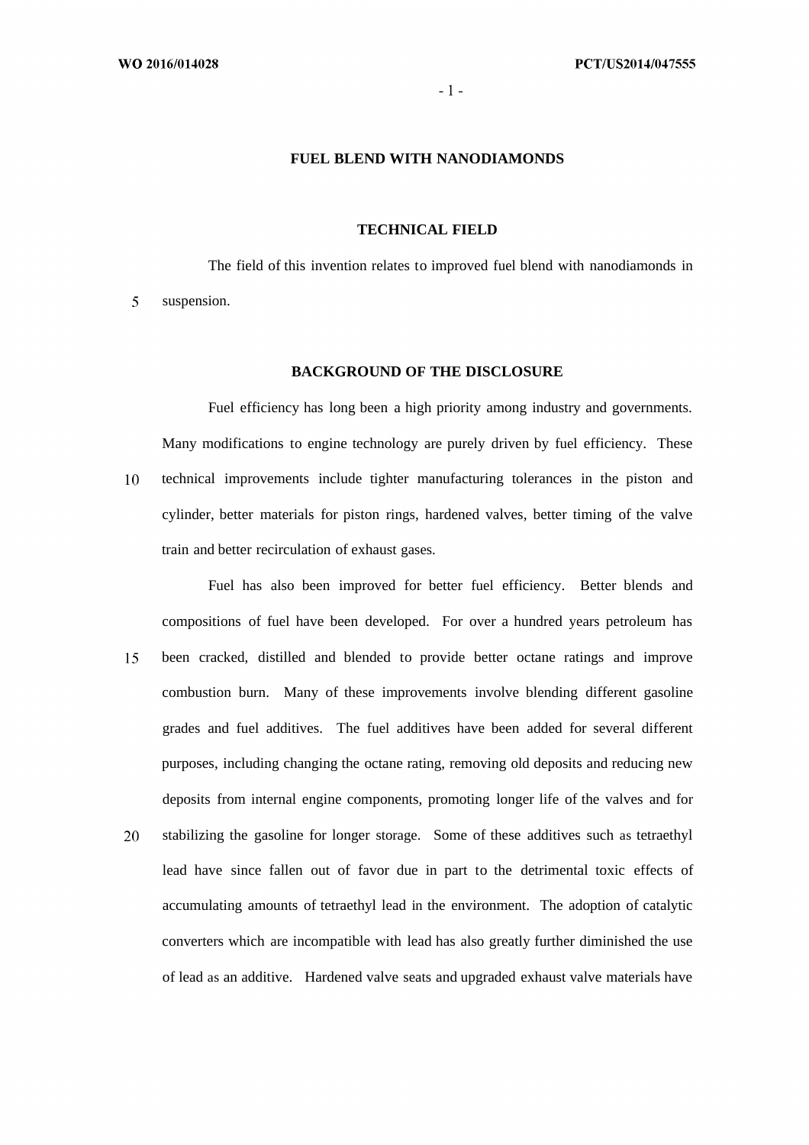5

## **FUEL BLEND WITH NANODIAMONDS**

#### **TECHNICAL FIELD**

The field of this invention relates to improved fuel blend with nanodiamonds in suspension.

#### **BACKGROUND OF THE DISCLOSURE**

Fuel efficiency has long been a high priority among industry and governments. Many modifications to engine technology are purely driven by fuel efficiency. These  $10<sup>1</sup>$ technical improvements include tighter manufacturing tolerances in the piston and cylinder, better materials for piston rings, hardened valves, better timing of the valve train and better recirculation of exhaust gases.

Fuel has also been improved for better fuel efficiency. Better blends and compositions of fuel have been developed. For over a hundred years petroleum has 15 been cracked, distilled and blended to provide better octane ratings and improve combustion burn. Many of these improvements involve blending different gasoline grades and fuel additives. The fuel additives have been added for several different purposes, including changing the octane rating, removing old deposits and reducing new deposits from internal engine components, promoting longer life of the valves and for

stabilizing the gasoline for longer storage. Some of these additives such as tetraethyl 20 lead have since fallen out of favor due in part to the detrimental toxic effects of accumulating amounts of tetraethyl lead in the environment. The adoption of catalytic converters which are incompatible with lead has also greatly further diminished the use of lead as an additive. Hardened valve seats and upgraded exhaust valve materials have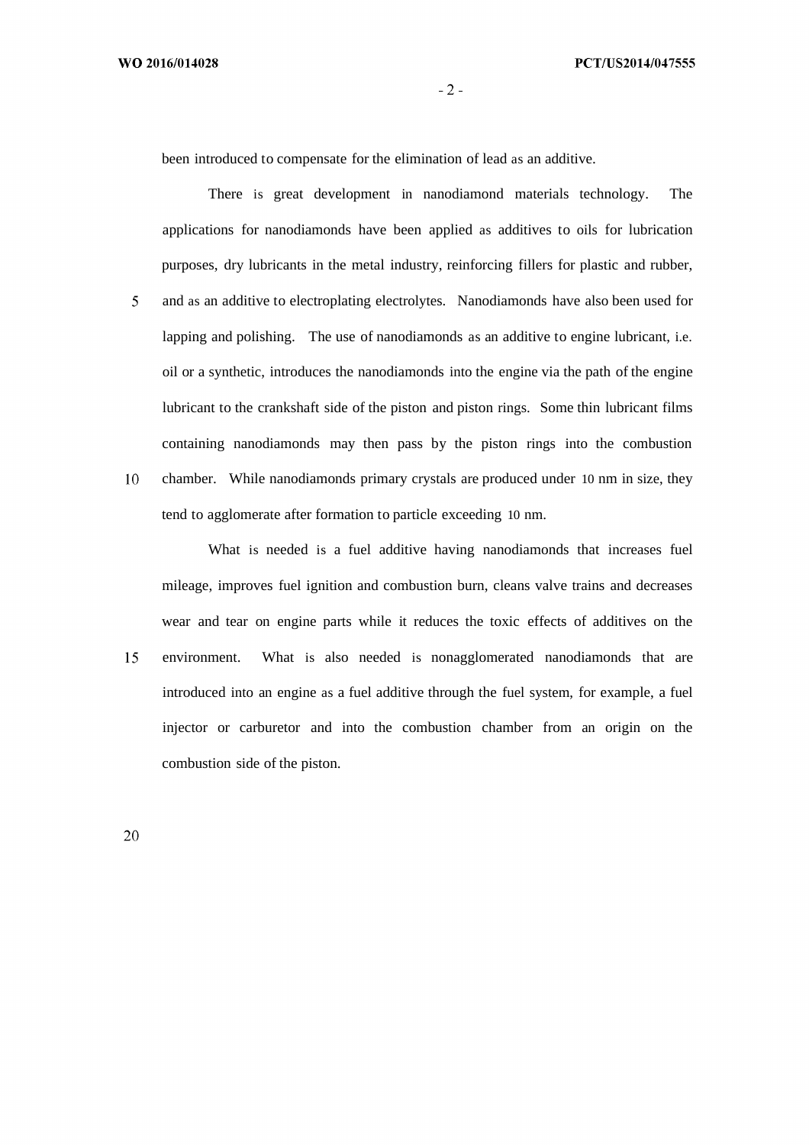$-2-$ 

been introduced to compensate for the elimination of lead as an additive.

There is great development in nanodiamond materials technology. The applications for nanodiamonds have been applied as additives to oils for lubrication purposes, dry lubricants in the metal industry, reinforcing fillers for plastic and rubber, 5 and as an additive to electroplating electrolytes. Nanodiamonds have also been used for lapping and polishing. The use of nanodiamonds as an additive to engine lubricant, i.e. oil or a synthetic, introduces the nanodiamonds into the engine via the path of the engine lubricant to the crankshaft side of the piston and piston rings. Some thin lubricant films containing nanodiamonds may then pass by the piston rings into the combustion 10 chamber. While nanodiamonds primary crystals are produced under 10 nm in size, they tend to agglomerate after formation to particle exceeding 10 nm.

What is needed is a fuel additive having nanodiamonds that increases fuel mileage, improves fuel ignition and combustion burn, cleans valve trains and decreases wear and tear on engine parts while it reduces the toxic effects of additives on the environment. What is also needed is nonagglomerated nanodiamonds that are 15 introduced into an engine as a fuel additive through the fuel system, for example, a fuel injector or carburetor and into the combustion chamber from an origin on the combustion side of the piston.

20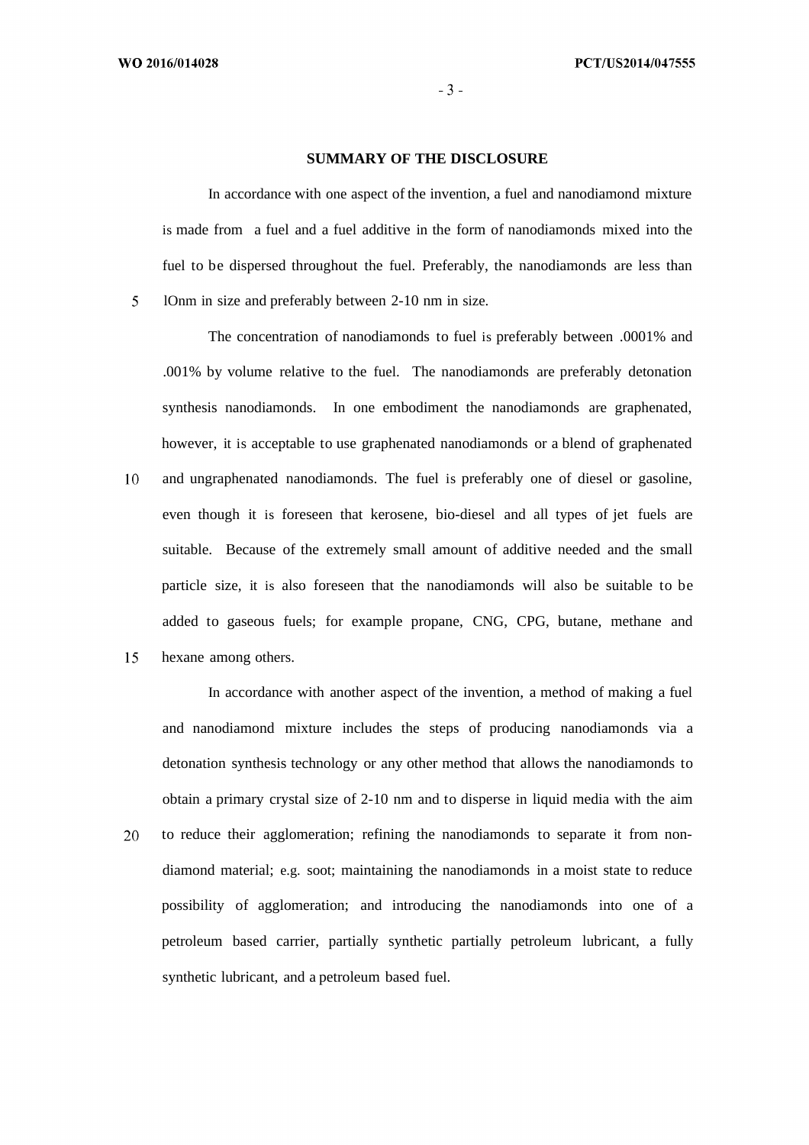5

#### **SUMMARY OF THE DISCLOSURE**

In accordance with one aspect of the invention, a fuel and nanodiamond mixture is made from a fuel and a fuel additive in the form of nanodiamonds mixed into the fuel to be dispersed throughout the fuel. Preferably, the nanodiamonds are less than lOnm in size and preferably between 2-10 nm in size.

The concentration of nanodiamonds to fuel is preferably between .0001% and .001% by volume relative to the fuel. The nanodiamonds are preferably detonation synthesis nanodiamonds. In one embodiment the nanodiamonds are graphenated, however, it is acceptable to use graphenated nanodiamonds or a blend of graphenated 10 and ungraphenated nanodiamonds. The fuel is preferably one of diesel or gasoline, even though it is foreseen that kerosene, bio-diesel and all types of jet fuels are suitable. Because of the extremely small amount of additive needed and the small particle size, it is also foreseen that the nanodiamonds will also be suitable to be added to gaseous fuels; for example propane, CNG, CPG, butane, methane and

15 hexane among others.

> In accordance with another aspect of the invention, a method of making a fuel and nanodiamond mixture includes the steps of producing nanodiamonds via a detonation synthesis technology or any other method that allows the nanodiamonds to obtain a primary crystal size of 2-10 nm and to disperse in liquid media with the aim

to reduce their agglomeration; refining the nanodiamonds to separate it from non-20 diamond material; e.g. soot; maintaining the nanodiamonds in a moist state to reduce possibility of agglomeration; and introducing the nanodiamonds into one of a petroleum based carrier, partially synthetic partially petroleum lubricant, a fully synthetic lubricant, and a petroleum based fuel.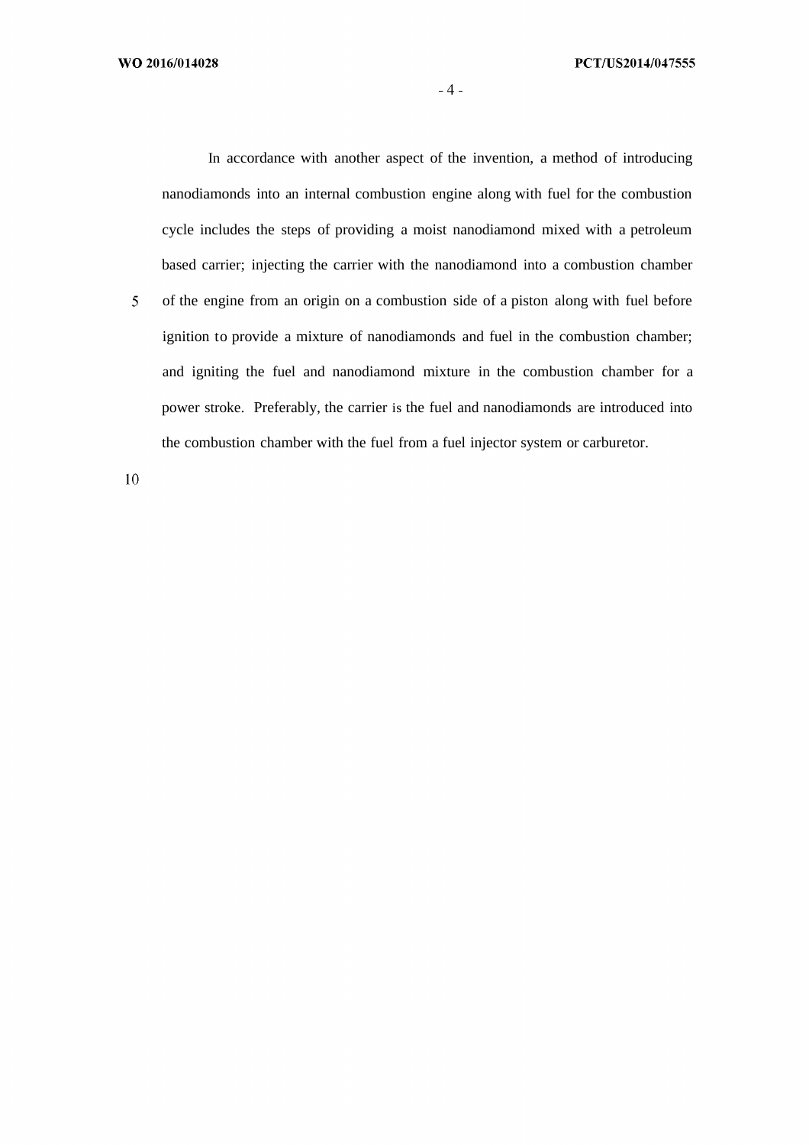In accordance with another aspect of the invention, a method of introducing nanodiamonds into an internal combustion engine along with fuel for the combustion cycle includes the steps of providing a moist nanodiamond mixed with a petroleum based carrier; injecting the carrier with the nanodiamond into a combustion chamber 5 of the engine from an origin on a combustion side of a piston along with fuel before ignition to provide a mixture of nanodiamonds and fuel in the combustion chamber; and igniting the fuel and nanodiamond mixture in the combustion chamber for a power stroke. Preferably, the carrier is the fuel and nanodiamonds are introduced into the combustion chamber with the fuel from a fuel injector system or carburetor.

 $10\,$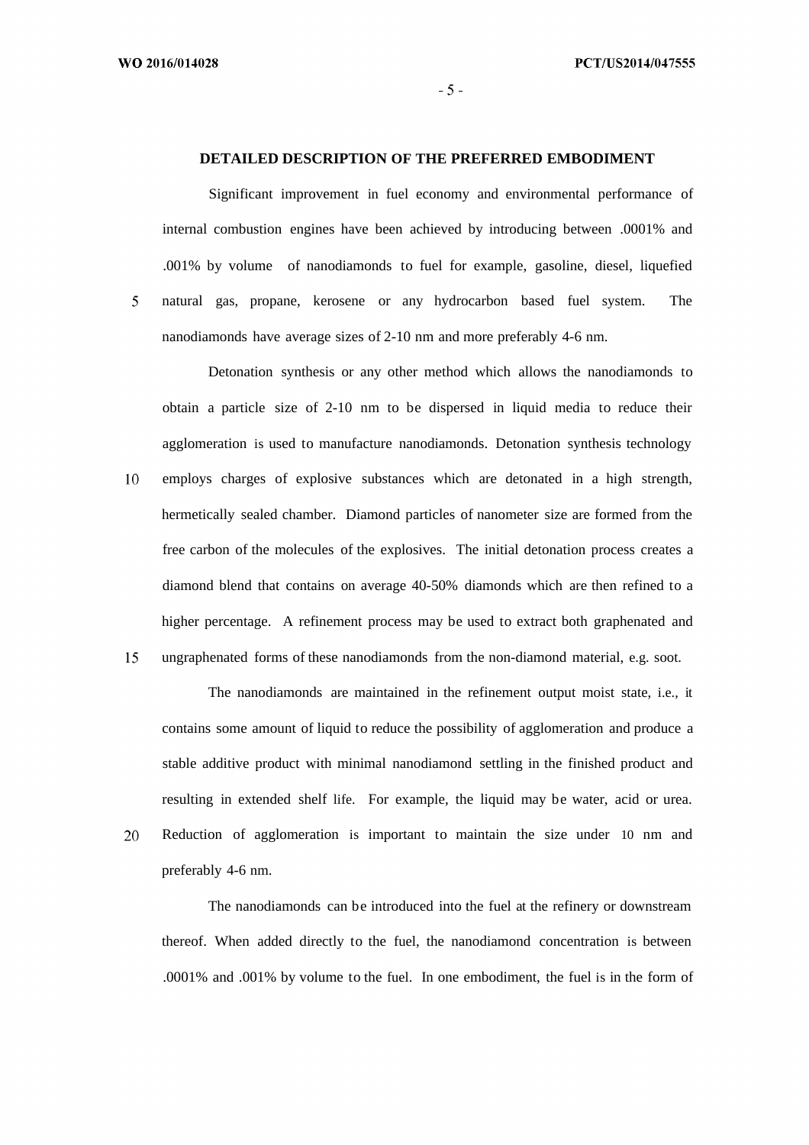WO 2016/014028

5

20

 $-5-$ 

#### **DETAILED DESCRIPTION OF THE PREFERRED EMBODIMENT**

Significant improvement in fuel economy and environmental performance of internal combustion engines have been achieved by introducing between .0001% and .001% by volume of nanodiamonds to fuel for example, gasoline, diesel, liquefied natural gas, propane, kerosene or any hydrocarbon based fuel system. The nanodiamonds have average sizes of 2-10 nm and more preferably 4-6 nm.

Detonation synthesis or any other method which allows the nanodiamonds to obtain a particle size of 2-10 nm to be dispersed in liquid media to reduce their agglomeration is used to manufacture nanodiamonds. Detonation synthesis technology 10 employs charges of explosive substances which are detonated in a high strength, hermetically sealed chamber. Diamond particles of nanometer size are formed from the free carbon of the molecules of the explosives. The initial detonation process creates a diamond blend that contains on average 40-50% diamonds which are then refined to a higher percentage. A refinement process may be used to extract both graphenated and

15 ungraphenated forms of these nanodiamonds from the non-diamond material, e.g. soot.

The nanodiamonds are maintained in the refinement output moist state, i.e., it contains some amount of liquid to reduce the possibility of agglomeration and produce a stable additive product with minimal nanodiamond settling in the finished product and resulting in extended shelf life. For example, the liquid may be water, acid or urea. Reduction of agglomeration is important to maintain the size under 10 nm and preferably 4-6 nm.

The nanodiamonds can be introduced into the fuel at the refinery or downstream thereof. When added directly to the fuel, the nanodiamond concentration is between .0001% and .001% by volume to the fuel. In one embodiment, the fuel is in the form of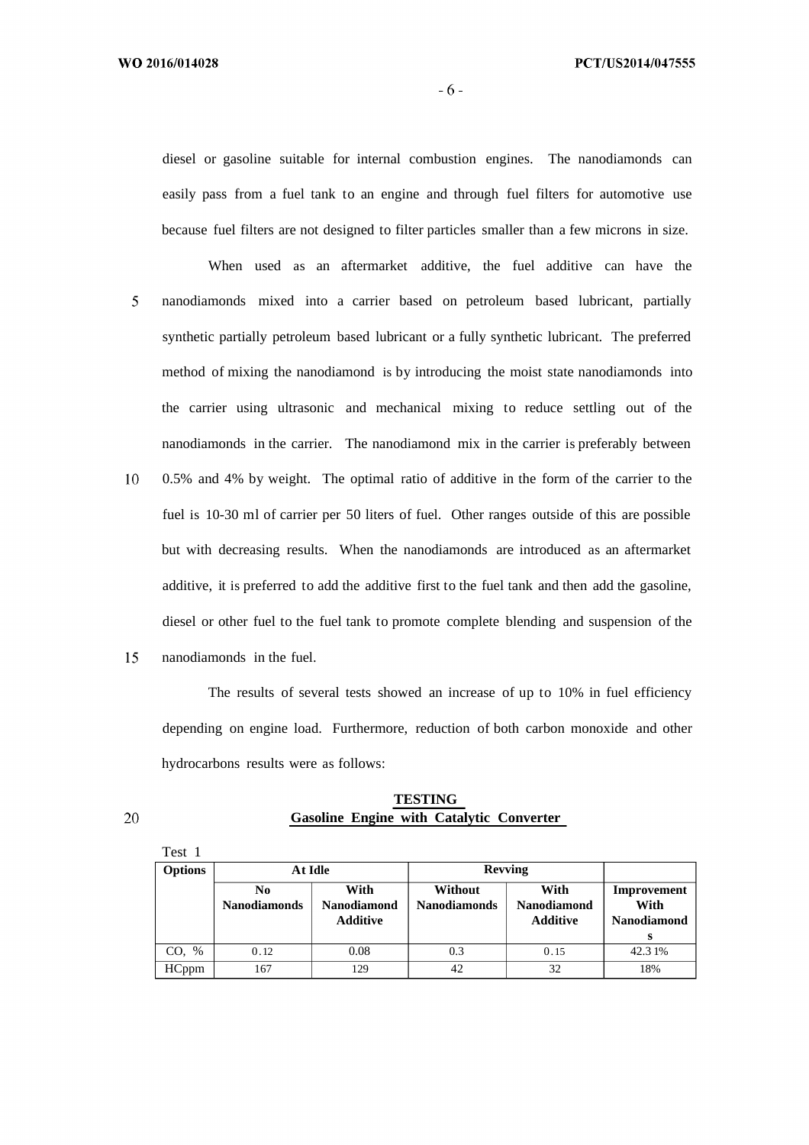$-6-$ 

diesel or gasoline suitable for internal combustion engines. The nanodiamonds can easily pass from a fuel tank to an engine and through fuel filters for automotive use because fuel filters are not designed to filter particles smaller than a few microns in size.

- When used as an aftermarket additive, the fuel additive can have the 5 nanodiamonds mixed into a carrier based on petroleum based lubricant, partially synthetic partially petroleum based lubricant or a fully synthetic lubricant. The preferred method of mixing the nanodiamond is by introducing the moist state nanodiamonds into the carrier using ultrasonic and mechanical mixing to reduce settling out of the nanodiamonds in the carrier. The nanodiamond mix in the carrier is preferably between
- 10 0.5% and 4% by weight. The optimal ratio of additive in the form of the carrier to the fuel is 10-30 ml of carrier per 50 liters of fuel. Other ranges outside of this are possible but with decreasing results. When the nanodiamonds are introduced as an aftermarket additive, it is preferred to add the additive first to the fuel tank and then add the gasoline, diesel or other fuel to the fuel tank to promote complete blending and suspension of the
- 15 nanodiamonds in the fuel.

The results of several tests showed an increase of up to 10% in fuel efficiency depending on engine load. Furthermore, reduction of both carbon monoxide and other hydrocarbons results were as follows:

### **TESTING Gasoline Engine with Catalytic Converter**

| Test 1         |                                       |                                               |                                |                                               |                                           |
|----------------|---------------------------------------|-----------------------------------------------|--------------------------------|-----------------------------------------------|-------------------------------------------|
| <b>Options</b> |                                       | At Idle                                       | <b>Revving</b>                 |                                               |                                           |
|                | N <sub>0</sub><br><b>Nanodiamonds</b> | With<br><b>Nanodiamond</b><br><b>Additive</b> | Without<br><b>Nanodiamonds</b> | With<br><b>Nanodiamond</b><br><b>Additive</b> | Improvement<br>With<br><b>Nanodiamond</b> |
|                |                                       |                                               |                                |                                               | s                                         |
| CO, %          | 0.12                                  | 0.08                                          | 0.3                            | 0.15                                          | 42.31%                                    |
| <b>HCppm</b>   | 167                                   | 129                                           | 42                             | 32                                            | 18%                                       |

20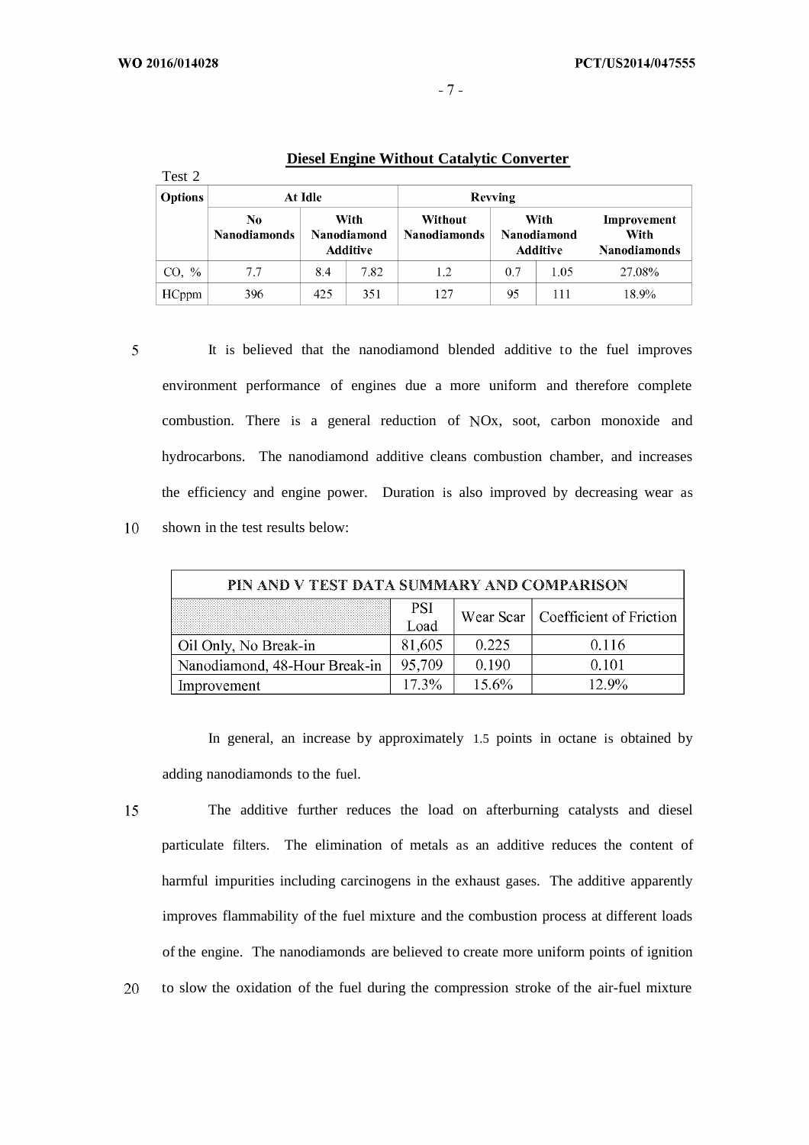| Test 2         |                           |     |                                        |                                |     |                                        |                                            |
|----------------|---------------------------|-----|----------------------------------------|--------------------------------|-----|----------------------------------------|--------------------------------------------|
| <b>Options</b> | At Idle                   |     | Revving                                |                                |     |                                        |                                            |
|                | No<br><b>Nanodiamonds</b> |     | With<br>Nanodiamond<br><b>Additive</b> | Without<br><b>Nanodiamonds</b> |     | With<br>Nanodiamond<br><b>Additive</b> | Improvement<br>With<br><b>Nanodiamonds</b> |
| CO, %          | 7.7                       | 8.4 | 7.82                                   | 1.2                            | 0.7 | 1.05                                   | 27.08%                                     |
| <b>HCppm</b>   | 396                       | 425 | 351                                    | 127                            | 95  | 111                                    | 18.9%                                      |

### **Diesel Engine Without Catalytic Converter**

5

10

It is believed that the nanodiamond blended additive to the fuel improves environment performance of engines due a more uniform and therefore complete combustion. There is a general reduction of Ox, soot, carbon monoxide and hydrocarbons. The nanodiamond additive cleans combustion chamber, and increases the efficiency and engine power. Duration is also improved by decreasing wear as shown in the test results below:

| PIN AND V TEST DATA SUMMARY AND COMPARISON |            |          |                                     |  |
|--------------------------------------------|------------|----------|-------------------------------------|--|
|                                            | <b>PSI</b> |          | Wear Scar   Coefficient of Friction |  |
|                                            | Load       |          |                                     |  |
| Oil Only, No Break-in                      | 81,605     | 0.225    | 0.116                               |  |
| Nanodiamond, 48-Hour Break-in              | 95,709     | 0.190    | 0.101                               |  |
| Improvement                                | $17.3\%$   | $15.6\%$ | $12.9\%$                            |  |

In general, an increase by approximately 1.5 points in octane is obtained by adding nanodiamonds to the fuel.

15

20

The additive further reduces the load on afterburning catalysts and diesel particulate filters. The elimination of metals as an additive reduces the content of harmful impurities including carcinogens in the exhaust gases. The additive apparently improves flammability of the fuel mixture and the combustion process at different loads of the engine. The nanodiamonds are believed to create more uniform points of ignition to slow the oxidation of the fuel during the compression stroke of the air-fuel mixture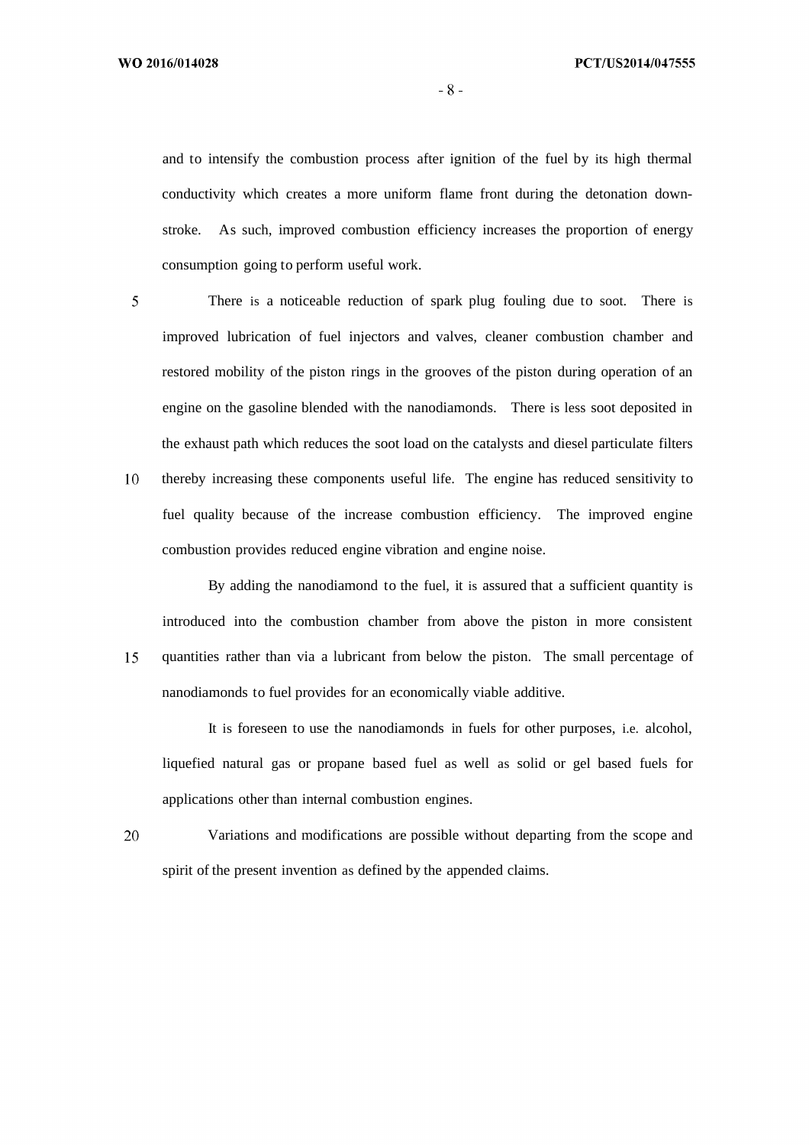WO 2016/014028

 $-8-$ 

and to intensify the combustion process after ignition of the fuel by its high thermal conductivity which creates a more uniform flame front during the detonation downstroke. As such, improved combustion efficiency increases the proportion of energy consumption going to perform useful work.

 $\overline{5}$ 

There is a noticeable reduction of spark plug fouling due to soot. There is improved lubrication of fuel injectors and valves, cleaner combustion chamber and restored mobility of the piston rings in the grooves of the piston during operation of an engine on the gasoline blended with the nanodiamonds. There is less soot deposited in the exhaust path which reduces the soot load on the catalysts and diesel particulate filters 10 thereby increasing these components useful life. The engine has reduced sensitivity to fuel quality because of the increase combustion efficiency. The improved engine

By adding the nanodiamond to the fuel, it is assured that a sufficient quantity is introduced into the combustion chamber from above the piston in more consistent quantities rather than via a lubricant from below the piston. The small percentage of 15 nanodiamonds to fuel provides for an economically viable additive.

combustion provides reduced engine vibration and engine noise.

It is foreseen to use the nanodiamonds in fuels for other purposes, i.e. alcohol, liquefied natural gas or propane based fuel as well as solid or gel based fuels for applications other than internal combustion engines.

20 Variations and modifications are possible without departing from the scope and spirit of the present invention as defined by the appended claims.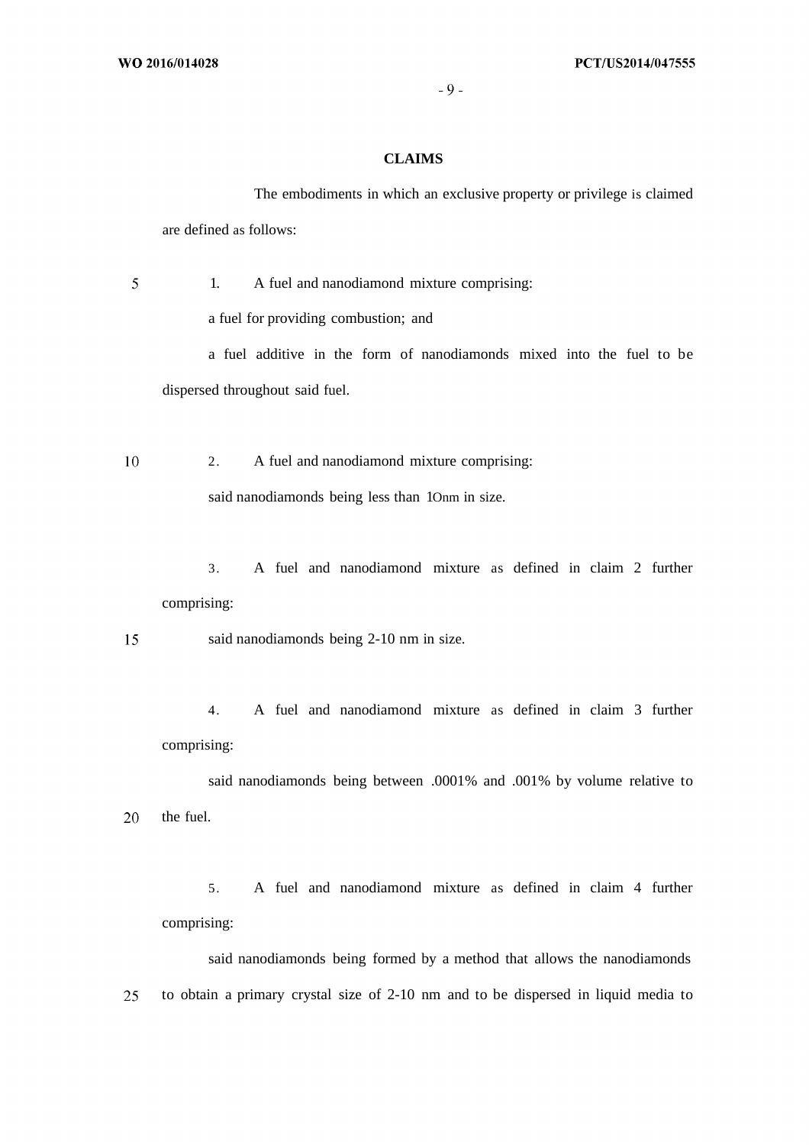## **CLAIMS**

The embodiments in which an exclusive property or privilege is claimed are defined as follows:

5 1. A fuel and nanodiamond mixture comprising:

a fuel for providing combustion; and

a fuel additive in the form of nanodiamonds mixed into the fuel to be dispersed throughout said fuel.

10 2. A fuel and nanodiamond mixture comprising: said nanodiamonds being less than 1Onm in size.

3. A fuel and nanodiamond mixture as defined in claim 2 further comprising:

15 said nanodiamonds being 2-10 nm in size.

4. A fuel and nanodiamond mixture as defined in claim 3 further comprising:

said nanodiamonds being between .0001% and .001% by volume relative to 20 the fuel.

5. A fuel and nanodiamond mixture as defined in claim 4 further comprising:

said nanodiamonds being formed by a method that allows the nanodiamonds 25 to obtain a primary crystal size of 2-10 nm and to be dispersed in liquid media to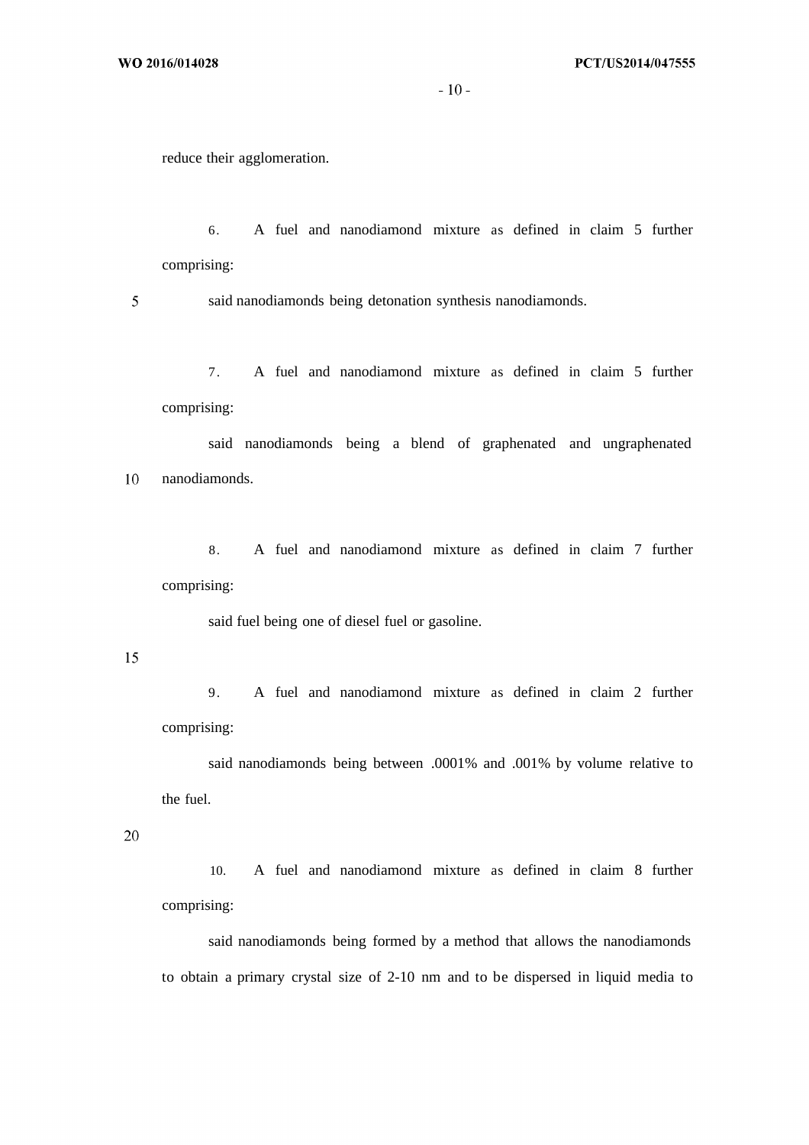$-10-$ 

reduce their agglomeration.

6. A fuel and nanodiamond mixture as defined in claim 5 further comprising:

5 said nanodiamonds being detonation synthesis nanodiamonds.

7. A fuel and nanodiamond mixture as defined in claim 5 further comprising:

said nanodiamonds being a blend of graphenated and ungraphenated nanodiamonds. 10

8. A fuel and nanodiamond mixture as defined in claim 7 further comprising:

said fuel being one of diesel fuel or gasoline.

15

9. A fuel and nanodiamond mixture as defined in claim 2 further comprising:

said nanodiamonds being between .0001% and .001% by volume relative to the fuel.

20

10. A fuel and nanodiamond mixture as defined in claim 8 further comprising:

said nanodiamonds being formed by a method that allows the nanodiamonds to obtain a primary crystal size of 2-10 nm and to be dispersed in liquid media to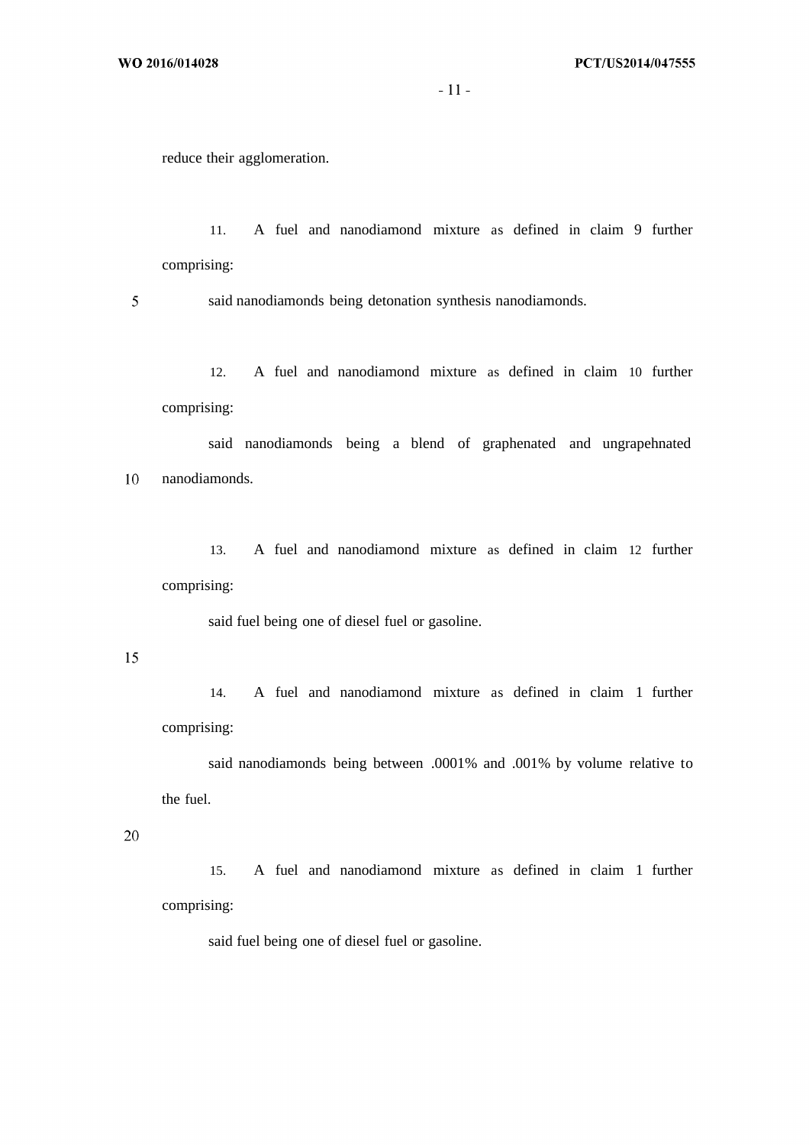$-11-$ 

reduce their agglomeration.

11. A fuel and nanodiamond mixture as defined in claim 9 further comprising:

5 said nanodiamonds being detonation synthesis nanodiamonds.

12. A fuel and nanodiamond mixture as defined in claim 10 further comprising:

said nanodiamonds being a blend of graphenated and ungrapehnated nanodiamonds. 10

13. A fuel and nanodiamond mixture as defined in claim 12 further comprising:

said fuel being one of diesel fuel or gasoline.

15

14. A fuel and nanodiamond mixture as defined in claim 1 further comprising:

said nanodiamonds being between .0001% and .001% by volume relative to the fuel.

20

15. A fuel and nanodiamond mixture as defined in claim 1 further comprising:

said fuel being one of diesel fuel or gasoline.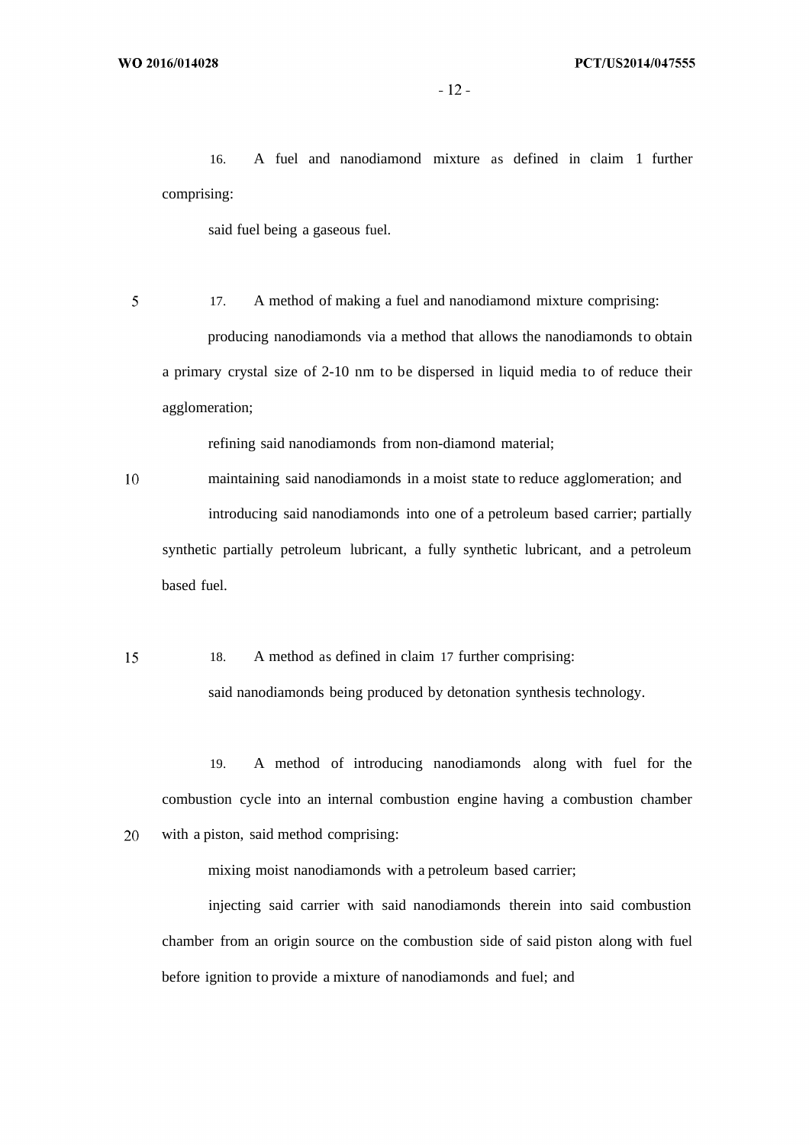20

16. A fuel and nanodiamond mixture as defined in claim 1 further comprising:

said fuel being a gaseous fuel.

5 17. A method of making a fuel and nanodiamond mixture comprising: producing nanodiamonds via a method that allows the nanodiamonds to obtain a primary crystal size of 2-10 nm to be dispersed in liquid media to of reduce their agglomeration;

refining said nanodiamonds from non-diamond material;

10 maintaining said nanodiamonds in a moist state to reduce agglomeration; and introducing said nanodiamonds into one of a petroleum based carrier; partially synthetic partially petroleum lubricant, a fully synthetic lubricant, and a petroleum based fuel.

18. A method as defined in claim 17 further comprising: 15 said nanodiamonds being produced by detonation synthesis technology.

19. A method of introducing nanodiamonds along with fuel for the combustion cycle into an internal combustion engine having a combustion chamber with a piston, said method comprising:

mixing moist nanodiamonds with a petroleum based carrier;

injecting said carrier with said nanodiamonds therein into said combustion chamber from an origin source on the combustion side of said piston along with fuel before ignition to provide a mixture of nanodiamonds and fuel; and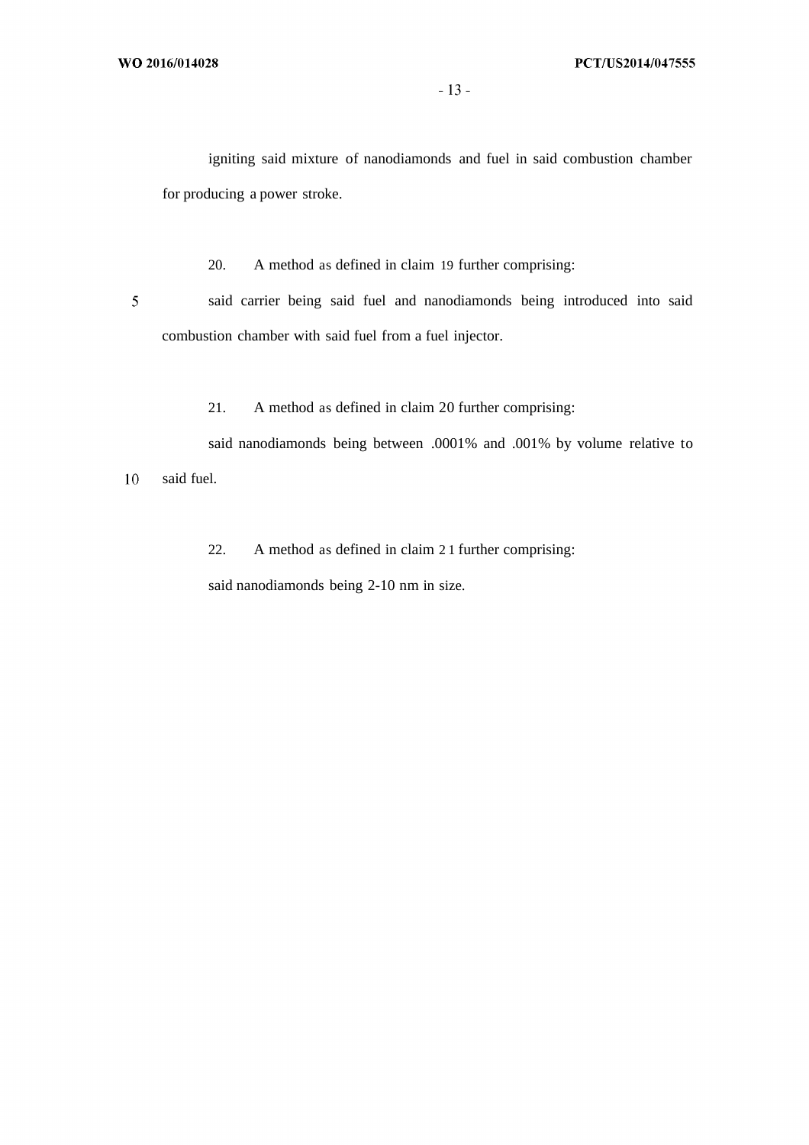igniting said mixture of nanodiamonds and fuel in said combustion chamber for producing a power stroke.

20. A method as defined in claim 19 further comprising:

said carrier being said fuel and nanodiamonds being introduced into said combustion chamber with said fuel from a fuel injector.

21. A method as defined in claim 20 further comprising:

said nanodiamonds being between .0001% and .001% by volume relative to

10 said fuel.

 $\overline{5}$ 

22. A method as defined in claim 2 1 further comprising:

said nanodiamonds being 2-10 nm in size.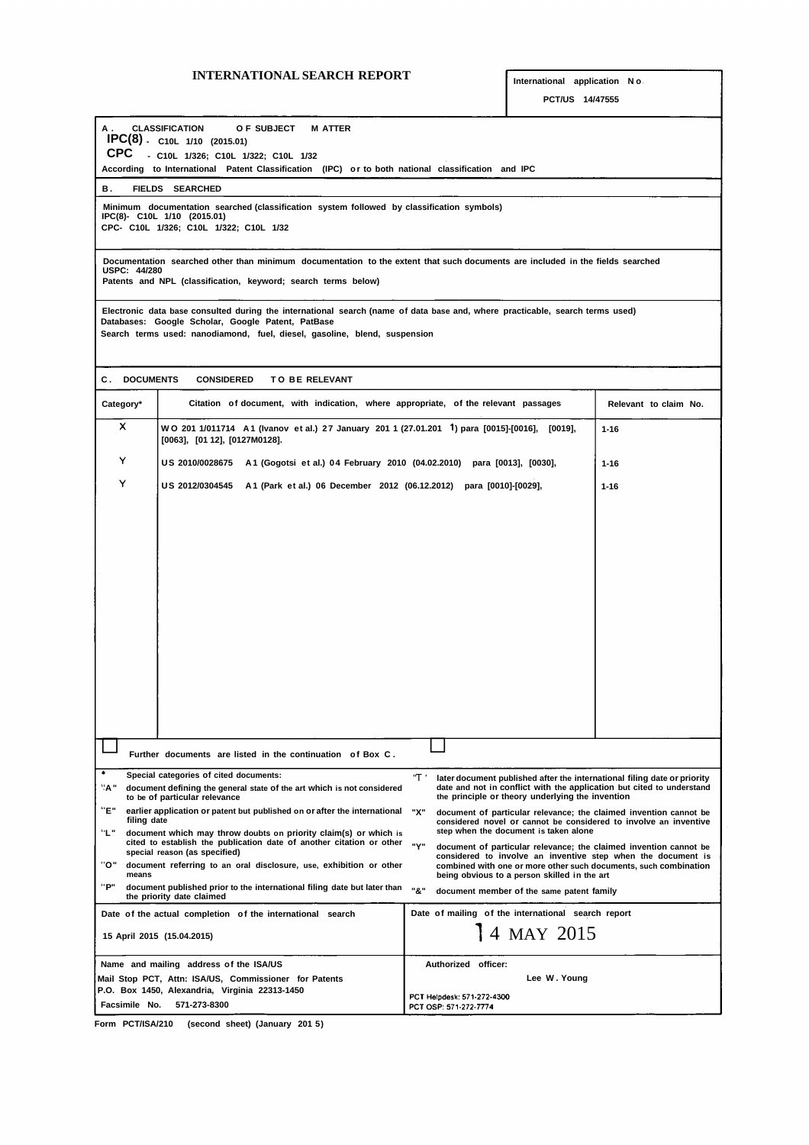# **INTERNATIONAL SEARCH REPORT International application <sup>N</sup> <sup>o</sup>**

| <b>CLASSIFICATION</b><br>А.<br>O F SUBJECT<br><b>M ATTER</b><br>IPC(8) - C10L 1/10 (2015.01)<br>CPC<br>- C10L 1/326; C10L 1/322; C10L 1/32                                                                                                                     |                                                                                                                                                                                                              |  |  |  |
|----------------------------------------------------------------------------------------------------------------------------------------------------------------------------------------------------------------------------------------------------------------|--------------------------------------------------------------------------------------------------------------------------------------------------------------------------------------------------------------|--|--|--|
| According to International Patent Classification (IPC) or to both national classification and IPC                                                                                                                                                              |                                                                                                                                                                                                              |  |  |  |
| в.<br><b>FIELDS SEARCHED</b>                                                                                                                                                                                                                                   |                                                                                                                                                                                                              |  |  |  |
| Minimum documentation searched (classification system followed by classification symbols)<br>IPC(8)- C10L 1/10 (2015.01)<br>CPC- C10L 1/326; C10L 1/322; C10L 1/32                                                                                             |                                                                                                                                                                                                              |  |  |  |
| Documentation searched other than minimum documentation to the extent that such documents are included in the fields searched<br><b>USPC: 44/280</b><br>Patents and NPL (classification, keyword; search terms below)                                          |                                                                                                                                                                                                              |  |  |  |
| Electronic data base consulted during the international search (name of data base and, where practicable, search terms used)<br>Databases: Google Scholar, Google Patent, PatBase<br>Search terms used: nanodiamond, fuel, diesel, gasoline, blend, suspension |                                                                                                                                                                                                              |  |  |  |
| <b>C. DOCUMENTS</b><br><b>CONSIDERED</b><br><b>TO BE RELEVANT</b>                                                                                                                                                                                              |                                                                                                                                                                                                              |  |  |  |
| Citation of document, with indication, where appropriate, of the relevant passages<br>Category*                                                                                                                                                                | Relevant to claim No.                                                                                                                                                                                        |  |  |  |
| x<br>WO 201 1/011714 A1 (Ivanov et al.) 27 January 201 1 (27.01.201 <sup>1</sup> ) para [0015]-[0016], [0019],<br>[0063], [01 12], [0127M0128].                                                                                                                | $1 - 16$                                                                                                                                                                                                     |  |  |  |
| Y<br>US 2010/0028675 A1 (Gogotsi et al.) 04 February 2010 (04.02.2010) para [0013], [0030],                                                                                                                                                                    | $1 - 16$                                                                                                                                                                                                     |  |  |  |
| Y<br>US 2012/0304545 A1 (Park et al.) 06 December 2012 (06.12.2012) para [0010]-[0029],                                                                                                                                                                        | $1 - 16$                                                                                                                                                                                                     |  |  |  |
|                                                                                                                                                                                                                                                                |                                                                                                                                                                                                              |  |  |  |
|                                                                                                                                                                                                                                                                |                                                                                                                                                                                                              |  |  |  |
|                                                                                                                                                                                                                                                                |                                                                                                                                                                                                              |  |  |  |
|                                                                                                                                                                                                                                                                |                                                                                                                                                                                                              |  |  |  |
|                                                                                                                                                                                                                                                                |                                                                                                                                                                                                              |  |  |  |
|                                                                                                                                                                                                                                                                |                                                                                                                                                                                                              |  |  |  |
|                                                                                                                                                                                                                                                                |                                                                                                                                                                                                              |  |  |  |
|                                                                                                                                                                                                                                                                |                                                                                                                                                                                                              |  |  |  |
|                                                                                                                                                                                                                                                                |                                                                                                                                                                                                              |  |  |  |
|                                                                                                                                                                                                                                                                |                                                                                                                                                                                                              |  |  |  |
|                                                                                                                                                                                                                                                                |                                                                                                                                                                                                              |  |  |  |
| Further documents are listed in the continuation of Box C.                                                                                                                                                                                                     |                                                                                                                                                                                                              |  |  |  |
| ۰<br>Special categories of cited documents:                                                                                                                                                                                                                    | <u> 'T'</u><br>later document published after the international filing date or priority                                                                                                                      |  |  |  |
| "д"<br>date and not in conflict with the application but cited to understand<br>document defining the general state of the art which is not considered<br>the principle or theory underlying the invention<br>to be of particular relevance                    |                                                                                                                                                                                                              |  |  |  |
| "Е"<br>earlier application or patent but published on or after the international<br>filing date<br>"∟"<br>document which may throw doubts on priority claim(s) or which is                                                                                     | "Х"<br>document of particular relevance; the claimed invention cannot be<br>considered novel or cannot be considered to involve an inventive<br>step when the document is taken alone                        |  |  |  |
| cited to establish the publication date of another citation or other<br>special reason (as specified)<br>"ס"<br>document referring to an oral disclosure, use, exhibition or other                                                                             | "Y"<br>document of particular relevance; the claimed invention cannot be<br>considered to involve an inventive step when the document is<br>combined with one or more other such documents, such combination |  |  |  |
| means<br>"Р"<br>document published prior to the international filing date but later than<br>the priority date claimed                                                                                                                                          | being obvious to a person skilled in the art<br>"&"<br>document member of the same patent family                                                                                                             |  |  |  |
| Date of the actual completion of the international search                                                                                                                                                                                                      | Date of mailing of the international search report                                                                                                                                                           |  |  |  |
| 15 April 2015 (15.04.2015)                                                                                                                                                                                                                                     | 4 MAY 2015                                                                                                                                                                                                   |  |  |  |
| Name and mailing address of the ISA/US                                                                                                                                                                                                                         | Authorized officer:                                                                                                                                                                                          |  |  |  |
| Mail Stop PCT, Attn: ISA/US, Commissioner for Patents<br>P.O. Box 1450, Alexandria, Virginia 22313-1450                                                                                                                                                        | Lee W. Young                                                                                                                                                                                                 |  |  |  |
| Facsimile No.<br>571-273-8300                                                                                                                                                                                                                                  | PCT Helpdesk: 571-272-4300<br>PCT OSP: 571-272-7774                                                                                                                                                          |  |  |  |

**Form PCT/ISA/210 (second sheet) (January 201 5)**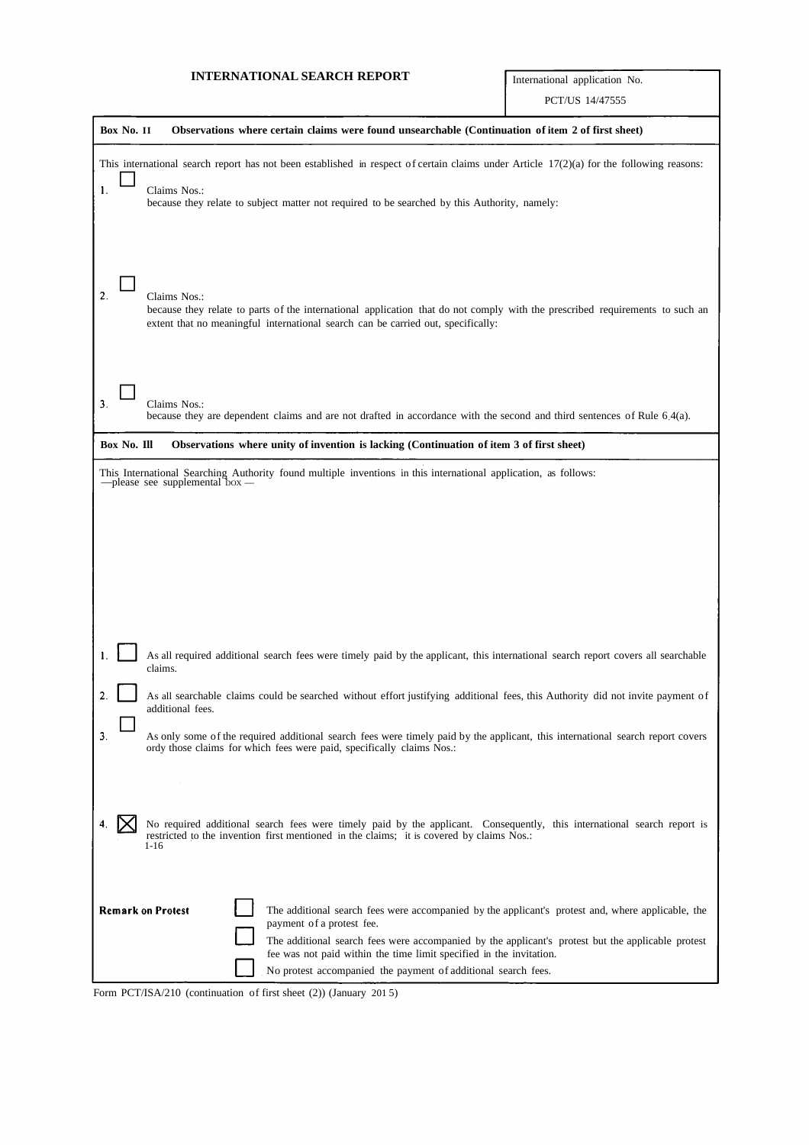# **INTERNATIONAL SEARCH REPORT** International application No.

| Box No. II<br>Observations where certain claims were found unsearchable (Continuation of item 2 of first sheet)                                                                                                                                                                                                                                                                                                                                                                                                         |
|-------------------------------------------------------------------------------------------------------------------------------------------------------------------------------------------------------------------------------------------------------------------------------------------------------------------------------------------------------------------------------------------------------------------------------------------------------------------------------------------------------------------------|
|                                                                                                                                                                                                                                                                                                                                                                                                                                                                                                                         |
| This international search report has not been established in respect of certain claims under Article $17(2)(a)$ for the following reasons:                                                                                                                                                                                                                                                                                                                                                                              |
| 1.<br>Claims Nos.:<br>because they relate to subject matter not required to be searched by this Authority, namely:                                                                                                                                                                                                                                                                                                                                                                                                      |
| $\overline{2}$ .<br>Claims Nos.:<br>because they relate to parts of the international application that do not comply with the prescribed requirements to such an<br>extent that no meaningful international search can be carried out, specifically:                                                                                                                                                                                                                                                                    |
| 3.<br>Claims Nos.:<br>because they are dependent claims and are not drafted in accordance with the second and third sentences of Rule 6.4(a).                                                                                                                                                                                                                                                                                                                                                                           |
| Box No. Ill<br>Observations where unity of invention is lacking (Continuation of item 3 of first sheet)                                                                                                                                                                                                                                                                                                                                                                                                                 |
| This International Searching Authority found multiple inventions in this international application, as follows: $-$ please see supplemental box $-$                                                                                                                                                                                                                                                                                                                                                                     |
| As all required additional search fees were timely paid by the applicant, this international search report covers all searchable<br>claims.<br>2<br>As all searchable claims could be searched without effort justifying additional fees, this Authority did not invite payment of<br>additional fees.<br>3.<br>As only some of the required additional search fees were timely paid by the applicant, this international search report covers<br>ordy those claims for which fees were paid, specifically claims Nos.: |
| No required additional search fees were timely paid by the applicant. Consequently, this international search report is<br>restricted to the invention first mentioned in the claims; it is covered by claims Nos.:<br>1-16                                                                                                                                                                                                                                                                                             |
| <b>Remark on Protest</b><br>The additional search fees were accompanied by the applicant's protest and, where applicable, the<br>payment of a protest fee.<br>The additional search fees were accompanied by the applicant's protest but the applicable protest<br>fee was not paid within the time limit specified in the invitation.<br>No protest accompanied the payment of additional search fees.                                                                                                                 |

Form PCT/ISA/210 (continuation of first sheet (2)) (January 201 5)